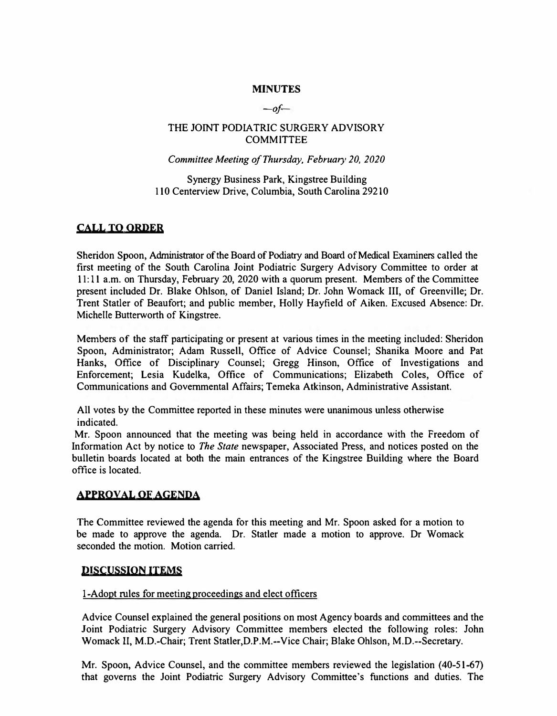### **MINUTES**

*-o/-*

#### THE JOINT PODIATRIC SURGERY ADVISORY **COMMITTEE**

#### *Committee Meeting of Thursday, February 20, 2020*

Synergy Business Park, Kingstree Building 110 Centerview Drive, Columbia, South Carolina 29210

## **CALL TO ORDER**

Sheridon Spoon, Administrator of the Board of Podiatry and Board of Medical Examiners called the first meeting of the South Carolina Joint Podiatric Surgery Advisory Committee to order at 11: 11 a.m. on Thursday, February 20, 2020 with a quorum present. Members of the Committee present included Dr. Blake Ohlson, of Daniel Island; Dr. John Womack III, of Greenville; Dr. Trent Statler of Beaufort; and public member, Holly Hayfield of Aiken. Excused Absence: Dr. Michelle Butterworth of Kingstree.

Members of the staff participating or present at various times in the meeting included: Sheridon Spoon, Administrator; Adam Russell, Office of Advice Counsel; Shanika Moore and Pat Hanks, Office of Disciplinary Counsel; Gregg Hinson, Office of Investigations and Enforcement; Lesia Kudelka, Office of Communications; Elizabeth Coles, Office of Communications and Governmental Affairs; Temeka Atkinson, Administrative Assistant.

All votes by the Committee reported in these minutes were unanimous unless otherwise indicated.

Mr. Spoon announced that the meeting was being held in accordance with the Freedom of Information Act by notice to *The State* newspaper, Associated Press, and notices posted on the bulletin boards located at both the main entrances of the Kingstree Building where the Board office is located.

#### **APPROVAL OF AGENDA**

The Committee reviewed the agenda for this meeting and Mr. Spoon asked for a motion to be made to approve the agenda. Dr. Statler made a motion to approve. Dr Womack seconded the motion. Motion carried.

#### **D1scuss10N ITEMS**

#### I-Adopt rules for meeting proceedings and elect officers

Advice Counsel explained the general positions on most Agency boards and committees and the Joint Podiatric Surgery Advisory Committee members elected the following roles: John Womack II, M.D.-Chair; Trent Statler,D.P.M.--Vice Chair; Blake Ohlson, M.D.--Secretary.

Mr. Spoon, Advice Counsel, and the committee members reviewed the legislation (40-51-67) that governs the Joint Podiatric Surgery Advisory Committee's functions and duties. The